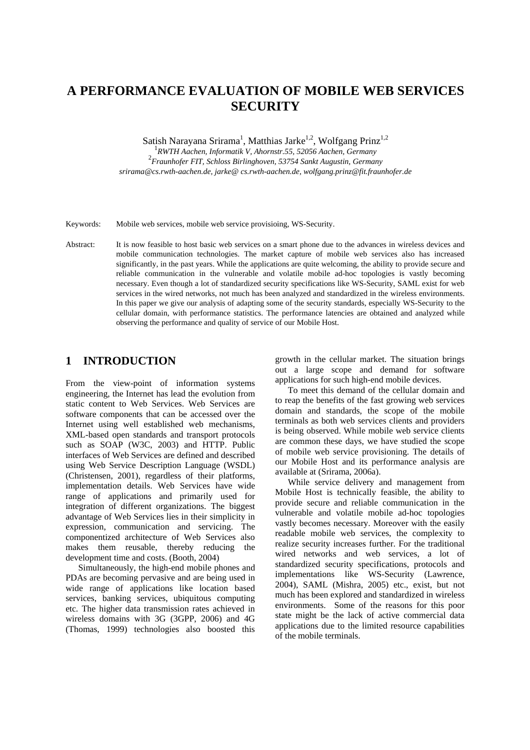# **A PERFORMANCE EVALUATION OF MOBILE WEB SERVICES SECURITY**

Satish Narayana Srirama<sup>1</sup>, Matthias Jarke<sup>1,2</sup>, Wolfgang Prinz<sup>1,2</sup>

1 *RWTH Aachen, Informatik V, Ahornstr.55, 52056 Aachen, Germany* <sup>2</sup> *Fraunhofer FIT, Schloss Birlinghoven, 53754 Sankt Augustin, Germany srirama@cs.rwth-aachen.de, jarke@ cs.rwth-aachen.de, wolfgang.prinz@fit.fraunhofer.de* 

Keywords: Mobile web services, mobile web service provisioing, WS-Security.

Abstract: It is now feasible to host basic web services on a smart phone due to the advances in wireless devices and mobile communication technologies. The market capture of mobile web services also has increased significantly, in the past years. While the applications are quite welcoming, the ability to provide secure and reliable communication in the vulnerable and volatile mobile ad-hoc topologies is vastly becoming necessary. Even though a lot of standardized security specifications like WS-Security, SAML exist for web services in the wired networks, not much has been analyzed and standardized in the wireless environments. In this paper we give our analysis of adapting some of the security standards, especially WS-Security to the cellular domain, with performance statistics. The performance latencies are obtained and analyzed while observing the performance and quality of service of our Mobile Host.

### **1 INTRODUCTION**

From the view-point of information systems engineering, the Internet has lead the evolution from static content to Web Services. Web Services are software components that can be accessed over the Internet using well established web mechanisms, XML-based open standards and transport protocols such as SOAP (W3C, 2003) and HTTP. Public interfaces of Web Services are defined and described using Web Service Description Language (WSDL) (Christensen, 2001), regardless of their platforms, implementation details. Web Services have wide range of applications and primarily used for integration of different organizations. The biggest advantage of Web Services lies in their simplicity in expression, communication and servicing. The componentized architecture of Web Services also makes them reusable, thereby reducing the development time and costs. (Booth, 2004)

Simultaneously, the high-end mobile phones and PDAs are becoming pervasive and are being used in wide range of applications like location based services, banking services, ubiquitous computing etc. The higher data transmission rates achieved in wireless domains with 3G (3GPP, 2006) and 4G (Thomas, 1999) technologies also boosted this

growth in the cellular market. The situation brings out a large scope and demand for software applications for such high-end mobile devices.

To meet this demand of the cellular domain and to reap the benefits of the fast growing web services domain and standards, the scope of the mobile terminals as both web services clients and providers is being observed. While mobile web service clients are common these days, we have studied the scope of mobile web service provisioning. The details of our Mobile Host and its performance analysis are available at (Srirama, 2006a).

While service delivery and management from Mobile Host is technically feasible, the ability to provide secure and reliable communication in the vulnerable and volatile mobile ad-hoc topologies vastly becomes necessary. Moreover with the easily readable mobile web services, the complexity to realize security increases further. For the traditional wired networks and web services, a lot of standardized security specifications, protocols and implementations like WS-Security (Lawrence, 2004), SAML (Mishra, 2005) etc., exist, but not much has been explored and standardized in wireless environments. Some of the reasons for this poor state might be the lack of active commercial data applications due to the limited resource capabilities of the mobile terminals.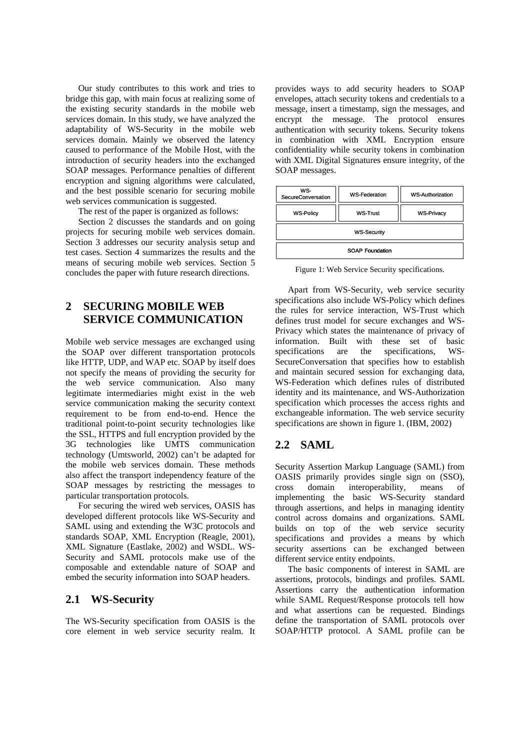Our study contributes to this work and tries to bridge this gap, with main focus at realizing some of the existing security standards in the mobile web services domain. In this study, we have analyzed the adaptability of WS-Security in the mobile web services domain. Mainly we observed the latency caused to performance of the Mobile Host, with the introduction of security headers into the exchanged SOAP messages. Performance penalties of different encryption and signing algorithms were calculated, and the best possible scenario for securing mobile web services communication is suggested.

The rest of the paper is organized as follows:

Section 2 discusses the standards and on going projects for securing mobile web services domain. Section 3 addresses our security analysis setup and test cases. Section 4 summarizes the results and the means of securing mobile web services. Section 5 concludes the paper with future research directions.

## **2 SECURING MOBILE WEB SERVICE COMMUNICATION**

Mobile web service messages are exchanged using the SOAP over different transportation protocols like HTTP, UDP, and WAP etc. SOAP by itself does not specify the means of providing the security for the web service communication. Also many legitimate intermediaries might exist in the web service communication making the security context requirement to be from end-to-end. Hence the traditional point-to-point security technologies like the SSL, HTTPS and full encryption provided by the 3G technologies like UMTS communication technology (Umtsworld, 2002) can't be adapted for the mobile web services domain. These methods also affect the transport independency feature of the SOAP messages by restricting the messages to particular transportation protocols.

For securing the wired web services, OASIS has developed different protocols like WS-Security and SAML using and extending the W3C protocols and standards SOAP, XML Encryption (Reagle, 2001), XML Signature (Eastlake, 2002) and WSDL. WS-Security and SAML protocols make use of the composable and extendable nature of SOAP and embed the security information into SOAP headers.

## **2.1 WS-Security**

The WS-Security specification from OASIS is the core element in web service security realm. It

provides ways to add security headers to SOAP envelopes, attach security tokens and credentials to a message, insert a timestamp, sign the messages, and encrypt the message. The protocol ensures authentication with security tokens. Security tokens in combination with XML Encryption ensure confidentiality while security tokens in combination with XML Digital Signatures ensure integrity, of the SOAP messages.

| WS-<br>SecureConversation | <b>WS-Federation</b> | <b>WS-Authorization</b> |  |  |  |
|---------------------------|----------------------|-------------------------|--|--|--|
| <b>WS-Policy</b>          | <b>WS-Trust</b>      | <b>WS-Privacy</b>       |  |  |  |
| <b>WS-Security</b>        |                      |                         |  |  |  |
| <b>SOAP Foundation</b>    |                      |                         |  |  |  |

Figure 1: Web Service Security specifications.

Apart from WS-Security, web service security specifications also include WS-Policy which defines the rules for service interaction, WS-Trust which defines trust model for secure exchanges and WS-Privacy which states the maintenance of privacy of information. Built with these set of basic specifications are the specifications, WS-SecureConversation that specifies how to establish and maintain secured session for exchanging data, WS-Federation which defines rules of distributed identity and its maintenance, and WS-Authorization specification which processes the access rights and exchangeable information. The web service security specifications are shown in figure 1. (IBM, 2002)

## **2.2 SAML**

Security Assertion Markup Language (SAML) from OASIS primarily provides single sign on (SSO), cross domain interoperability, means of implementing the basic WS-Security standard through assertions, and helps in managing identity control across domains and organizations. SAML builds on top of the web service security specifications and provides a means by which security assertions can be exchanged between different service entity endpoints.

The basic components of interest in SAML are assertions, protocols, bindings and profiles. SAML Assertions carry the authentication information while SAML Request/Response protocols tell how and what assertions can be requested. Bindings define the transportation of SAML protocols over SOAP/HTTP protocol. A SAML profile can be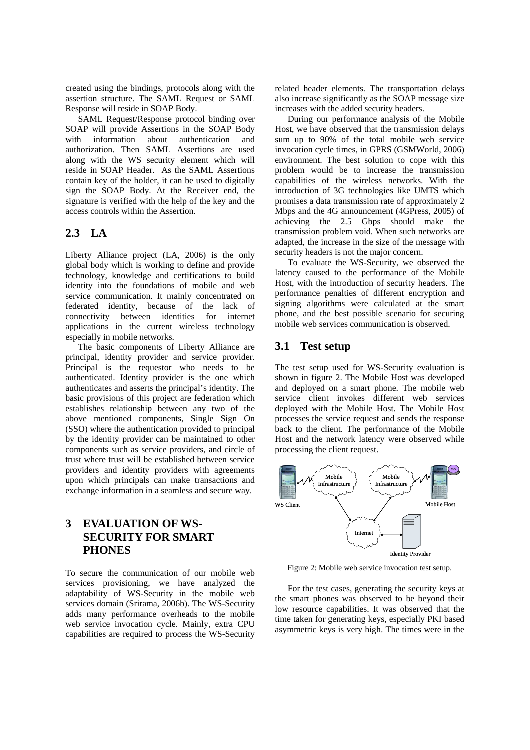created using the bindings, protocols along with the assertion structure. The SAML Request or SAML Response will reside in SOAP Body.

SAML Request/Response protocol binding over SOAP will provide Assertions in the SOAP Body with information about authentication and authorization. Then SAML Assertions are used along with the WS security element which will reside in SOAP Header. As the SAML Assertions contain key of the holder, it can be used to digitally sign the SOAP Body. At the Receiver end, the signature is verified with the help of the key and the access controls within the Assertion.

#### **2.3 LA**

Liberty Alliance project (LA, 2006) is the only global body which is working to define and provide technology, knowledge and certifications to build identity into the foundations of mobile and web service communication. It mainly concentrated on federated identity, because of the lack of connectivity between identities for internet applications in the current wireless technology especially in mobile networks.

The basic components of Liberty Alliance are principal, identity provider and service provider. Principal is the requestor who needs to be authenticated. Identity provider is the one which authenticates and asserts the principal's identity. The basic provisions of this project are federation which establishes relationship between any two of the above mentioned components, Single Sign On (SSO) where the authentication provided to principal by the identity provider can be maintained to other components such as service providers, and circle of trust where trust will be established between service providers and identity providers with agreements upon which principals can make transactions and exchange information in a seamless and secure way.

# **3 EVALUATION OF WS-SECURITY FOR SMART PHONES**

To secure the communication of our mobile web services provisioning, we have analyzed the adaptability of WS-Security in the mobile web services domain (Srirama, 2006b). The WS-Security adds many performance overheads to the mobile web service invocation cycle. Mainly, extra CPU capabilities are required to process the WS-Security

related header elements. The transportation delays also increase significantly as the SOAP message size increases with the added security headers.

During our performance analysis of the Mobile Host, we have observed that the transmission delays sum up to 90% of the total mobile web service invocation cycle times, in GPRS (GSMWorld, 2006) environment. The best solution to cope with this problem would be to increase the transmission capabilities of the wireless networks. With the introduction of 3G technologies like UMTS which promises a data transmission rate of approximately 2 Mbps and the 4G announcement (4GPress, 2005) of achieving the 2.5 Gbps should make the transmission problem void. When such networks are adapted, the increase in the size of the message with security headers is not the major concern.

To evaluate the WS-Security, we observed the latency caused to the performance of the Mobile Host, with the introduction of security headers. The performance penalties of different encryption and signing algorithms were calculated at the smart phone, and the best possible scenario for securing mobile web services communication is observed.

#### **3.1 Test setup**

The test setup used for WS-Security evaluation is shown in figure 2. The Mobile Host was developed and deployed on a smart phone. The mobile web service client invokes different web services deployed with the Mobile Host. The Mobile Host processes the service request and sends the response back to the client. The performance of the Mobile Host and the network latency were observed while processing the client request.



Figure 2: Mobile web service invocation test setup.

For the test cases, generating the security keys at the smart phones was observed to be beyond their low resource capabilities. It was observed that the time taken for generating keys, especially PKI based asymmetric keys is very high. The times were in the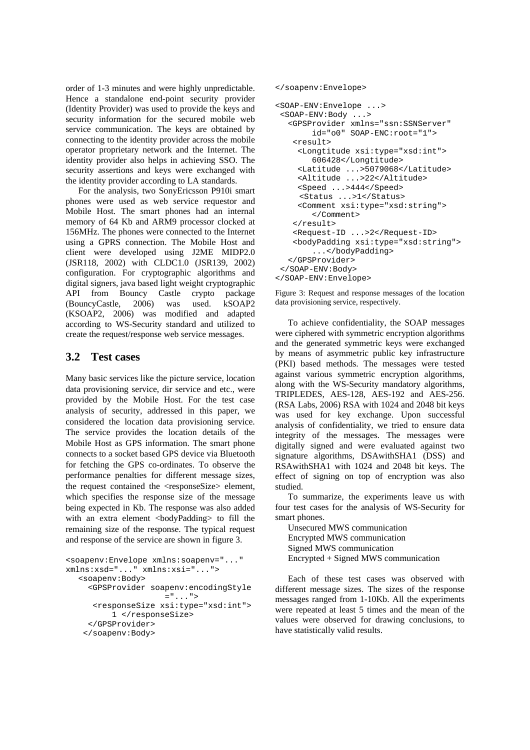order of 1-3 minutes and were highly unpredictable. Hence a standalone end-point security provider (Identity Provider) was used to provide the keys and security information for the secured mobile web service communication. The keys are obtained by connecting to the identity provider across the mobile operator proprietary network and the Internet. The identity provider also helps in achieving SSO. The security assertions and keys were exchanged with the identity provider according to LA standards.

For the analysis, two SonyEricsson P910i smart phones were used as web service requestor and Mobile Host. The smart phones had an internal memory of 64 Kb and ARM9 processor clocked at 156MHz. The phones were connected to the Internet using a GPRS connection. The Mobile Host and client were developed using J2ME MIDP2.0 (JSR118, 2002) with CLDC1.0 (JSR139, 2002) configuration. For cryptographic algorithms and digital signers, java based light weight cryptographic API from Bouncy Castle crypto package (BouncyCastle, 2006) was used. kSOAP2 (KSOAP2, 2006) was modified and adapted according to WS-Security standard and utilized to create the request/response web service messages.

## **3.2 Test cases**

Many basic services like the picture service, location data provisioning service, dir service and etc., were provided by the Mobile Host. For the test case analysis of security, addressed in this paper, we considered the location data provisioning service. The service provides the location details of the Mobile Host as GPS information. The smart phone connects to a socket based GPS device via Bluetooth for fetching the GPS co-ordinates. To observe the performance penalties for different message sizes, the request contained the <responseSize> element, which specifies the response size of the message being expected in Kb. The response was also added with an extra element <br/>bodyPadding> to fill the remaining size of the response. The typical request and response of the service are shown in figure 3.

```
<soapenv:Envelope xmlns:soapenv="..." 
xmlns:xsd="..." xmlns:xsi="..."> 
  <soapenv:Body> 
      <GPSProvider soapenv:encodingStyle 
                     = "...">
       <responseSize xsi:type="xsd:int"> 
           1 </responseSize> 
      </GPSProvider> 
    </soapenv:Body>
```

```
</soapenv:Envelope>
```

```
<SOAP-ENV:Envelope ...> 
  <SOAP-ENV:Body ...> 
  <GPSProvider xmlns="ssn:SSNServer" 
         id="o0" SOAP-ENC:root="1"> 
     <result> 
     <Longtitude xsi:type="xsd:int"> 
         606428</Longtitude> 
      <Latitude ...>5079068</Latitude> 
     <Altitude ...>22</Altitude> 
      <Speed ...>444</Speed> 
      <Status ...>1</Status> 
     <Comment xsi:type="xsd:string"> 
         </Comment> 
    \langleresult>
     <Request-ID ...>2</Request-ID> 
     <bodyPadding xsi:type="xsd:string"> 
         ...</bodyPadding> 
  </GPSProvider> 
  </SOAP-ENV:Body> 
</SOAP-ENV:Envelope>
```
Figure 3: Request and response messages of the location data provisioning service, respectively.

To achieve confidentiality, the SOAP messages were ciphered with symmetric encryption algorithms and the generated symmetric keys were exchanged by means of asymmetric public key infrastructure (PKI) based methods. The messages were tested against various symmetric encryption algorithms, along with the WS-Security mandatory algorithms, TRIPLEDES, AES-128, AES-192 and AES-256. (RSA Labs, 2006) RSA with 1024 and 2048 bit keys was used for key exchange. Upon successful analysis of confidentiality, we tried to ensure data integrity of the messages. The messages were digitally signed and were evaluated against two signature algorithms, DSAwithSHA1 (DSS) and RSAwithSHA1 with 1024 and 2048 bit keys. The effect of signing on top of encryption was also studied.

To summarize, the experiments leave us with four test cases for the analysis of WS-Security for smart phones.

Unsecured MWS communication Encrypted MWS communication Signed MWS communication Encrypted + Signed MWS communication

Each of these test cases was observed with different message sizes. The sizes of the response messages ranged from 1-10Kb. All the experiments were repeated at least 5 times and the mean of the values were observed for drawing conclusions, to have statistically valid results.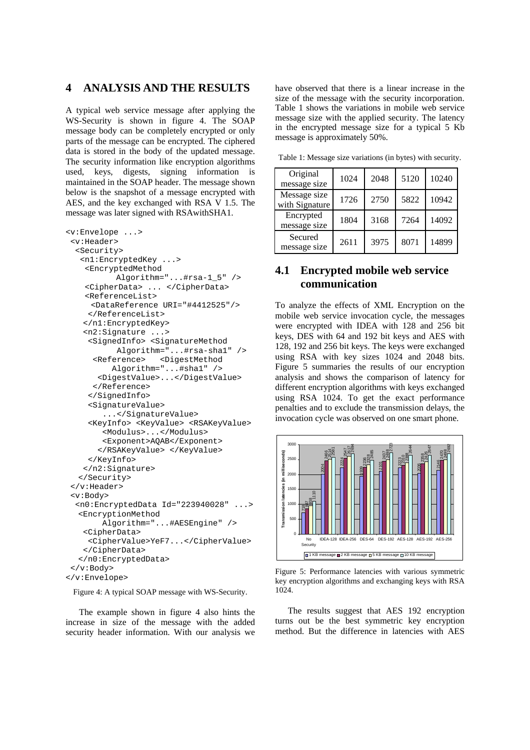## **4 ANALYSIS AND THE RESULTS**

A typical web service message after applying the WS-Security is shown in figure 4. The SOAP message body can be completely encrypted or only parts of the message can be encrypted. The ciphered data is stored in the body of the updated message. The security information like encryption algorithms used, keys, digests, signing information is maintained in the SOAP header. The message shown below is the snapshot of a message encrypted with AES, and the key exchanged with RSA V 1.5. The message was later signed with RSAwithSHA1.

```
<v:Envelope ...> 
  <v:Header> 
   <Security> 
    <n1:EncryptedKey ...> 
     <EncryptedMethod 
            Algorithm="...#rsa-1_5" /> 
     <CipherData> ... </CipherData> 
     <ReferenceList> 
      <DataReference URI="#4412525"/> 
      </ReferenceList> 
     </n1:EncryptedKey> 
     <n2:Signature ...> 
      <SignedInfo> <SignatureMethod 
            Algorithm="...#rsa-sha1" /> 
       <Reference> <DigestMethod 
           Algorithm="...#sha1" /> 
        <DigestValue>...</DigestValue> 
       </Reference> 
      </SignedInfo> 
      <SignatureValue> 
         ...</SignatureValue> 
      <KeyInfo> <KeyValue> <RSAKeyValue> 
         <Modulus>...</Modulus> 
         <Exponent>AQAB</Exponent> 
        </RSAKeyValue> </KeyValue> 
      </KeyInfo> 
     </n2:Signature> 
  </Security> 
  </v:Header> 
  <v:Body> 
   <n0:EncryptedData Id="223940028" ...> 
  <EncryptionMethod 
         Algorithm="...#AESEngine" /> 
     <CipherData> 
      <CipherValue>YeF7...</CipherValue> 
     </CipherData> 
  </n0:EncryptedData> 
  </v:Body> 
</v:Envelope>
```
Figure 4: A typical SOAP message with WS-Security.

The example shown in figure 4 also hints the increase in size of the message with the added security header information. With our analysis we have observed that there is a linear increase in the size of the message with the security incorporation. Table 1 shows the variations in mobile web service message size with the applied security. The latency in the encrypted message size for a typical 5 Kb message is approximately 50%.

| Original<br>message size       | 1024 | 2048 | 5120 | 10240 |
|--------------------------------|------|------|------|-------|
| Message size<br>with Signature | 1726 | 2750 | 5822 | 10942 |
| Encrypted<br>message size      | 1804 | 3168 | 7264 | 14092 |
| Secured<br>message size        | 2611 | 3975 | 8071 | 14899 |

Table 1: Message size variations (in bytes) with security.

# **4.1 Encrypted mobile web service communication**

To analyze the effects of XML Encryption on the mobile web service invocation cycle, the messages were encrypted with IDEA with 128 and 256 bit keys, DES with 64 and 192 bit keys and AES with 128, 192 and 256 bit keys. The keys were exchanged using RSA with key sizes 1024 and 2048 bits. Figure 5 summaries the results of our encryption analysis and shows the comparison of latency for different encryption algorithms with keys exchanged using RSA 1024. To get the exact performance penalties and to exclude the transmission delays, the invocation cycle was observed on one smart phone.



Figure 5: Performance latencies with various symmetric key encryption algorithms and exchanging keys with RSA 1024.

The results suggest that AES 192 encryption turns out be the best symmetric key encryption method. But the difference in latencies with AES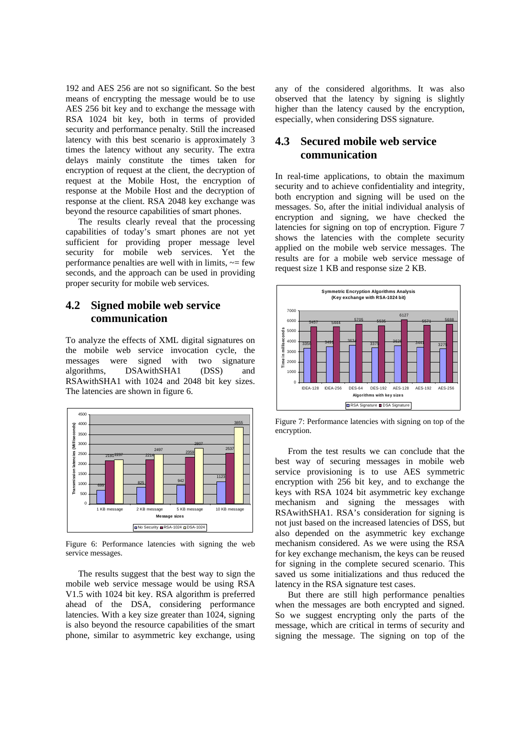192 and AES 256 are not so significant. So the best means of encrypting the message would be to use AES 256 bit key and to exchange the message with RSA 1024 bit key, both in terms of provided security and performance penalty. Still the increased latency with this best scenario is approximately 3 times the latency without any security. The extra delays mainly constitute the times taken for encryption of request at the client, the decryption of request at the Mobile Host, the encryption of response at the Mobile Host and the decryption of response at the client. RSA 2048 key exchange was beyond the resource capabilities of smart phones.

The results clearly reveal that the processing capabilities of today's smart phones are not yet sufficient for providing proper message level security for mobile web services. Yet the performance penalties are well with in limits,  $\sim$  few seconds, and the approach can be used in providing proper security for mobile web services.

## **4.2 Signed mobile web service communication**

To analyze the effects of XML digital signatures on the mobile web service invocation cycle, the messages were signed with two signature<br>algorithms. DSAwithSHA1 (DSS) and DSAwithSHA1 (DSS) and RSAwithSHA1 with 1024 and 2048 bit key sizes. The latencies are shown in figure 6.



Figure 6: Performance latencies with signing the web service messages.

The results suggest that the best way to sign the mobile web service message would be using RSA V1.5 with 1024 bit key. RSA algorithm is preferred ahead of the DSA, considering performance latencies. With a key size greater than 1024, signing is also beyond the resource capabilities of the smart phone, similar to asymmetric key exchange, using

any of the considered algorithms. It was also observed that the latency by signing is slightly higher than the latency caused by the encryption, especially, when considering DSS signature.

## **4.3 Secured mobile web service communication**

In real-time applications, to obtain the maximum security and to achieve confidentiality and integrity, both encryption and signing will be used on the messages. So, after the initial individual analysis of encryption and signing, we have checked the latencies for signing on top of encryption. Figure 7 shows the latencies with the complete security applied on the mobile web service messages. The results are for a mobile web service message of request size 1 KB and response size 2 KB.



Figure 7: Performance latencies with signing on top of the encryption.

From the test results we can conclude that the best way of securing messages in mobile web service provisioning is to use AES symmetric encryption with 256 bit key, and to exchange the keys with RSA 1024 bit asymmetric key exchange mechanism and signing the messages with RSAwithSHA1. RSA's consideration for signing is not just based on the increased latencies of DSS, but also depended on the asymmetric key exchange mechanism considered. As we were using the RSA for key exchange mechanism, the keys can be reused for signing in the complete secured scenario. This saved us some initializations and thus reduced the latency in the RSA signature test cases.

But there are still high performance penalties when the messages are both encrypted and signed. So we suggest encrypting only the parts of the message, which are critical in terms of security and signing the message. The signing on top of the